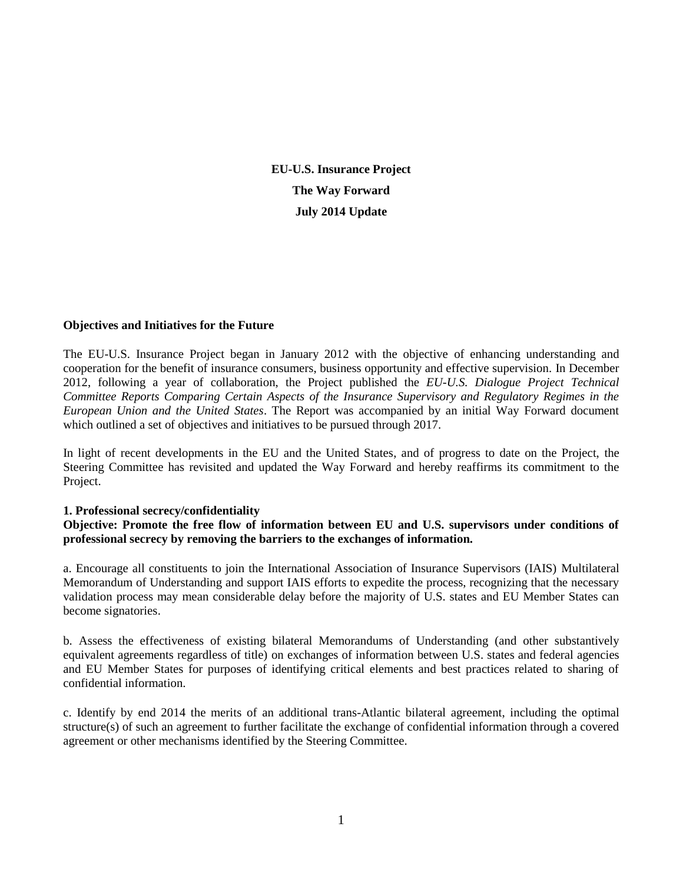**EU-U.S. Insurance Project The Way Forward July 2014 Update**

#### **Objectives and Initiatives for the Future**

The EU-U.S. Insurance Project began in January 2012 with the objective of enhancing understanding and cooperation for the benefit of insurance consumers, business opportunity and effective supervision. In December 2012, following a year of collaboration, the Project published the *EU-U.S. Dialogue Project Technical Committee Reports Comparing Certain Aspects of the Insurance Supervisory and Regulatory Regimes in the European Union and the United States*. The Report was accompanied by an initial Way Forward document which outlined a set of objectives and initiatives to be pursued through 2017.

In light of recent developments in the EU and the United States, and of progress to date on the Project, the Steering Committee has revisited and updated the Way Forward and hereby reaffirms its commitment to the Project.

#### **1. Professional secrecy/confidentiality**

**Objective: Promote the free flow of information between EU and U.S. supervisors under conditions of professional secrecy by removing the barriers to the exchanges of information.**

a. Encourage all constituents to join the International Association of Insurance Supervisors (IAIS) Multilateral Memorandum of Understanding and support IAIS efforts to expedite the process, recognizing that the necessary validation process may mean considerable delay before the majority of U.S. states and EU Member States can become signatories.

b. Assess the effectiveness of existing bilateral Memorandums of Understanding (and other substantively equivalent agreements regardless of title) on exchanges of information between U.S. states and federal agencies and EU Member States for purposes of identifying critical elements and best practices related to sharing of confidential information.

c. Identify by end 2014 the merits of an additional trans-Atlantic bilateral agreement, including the optimal structure(s) of such an agreement to further facilitate the exchange of confidential information through a covered agreement or other mechanisms identified by the Steering Committee.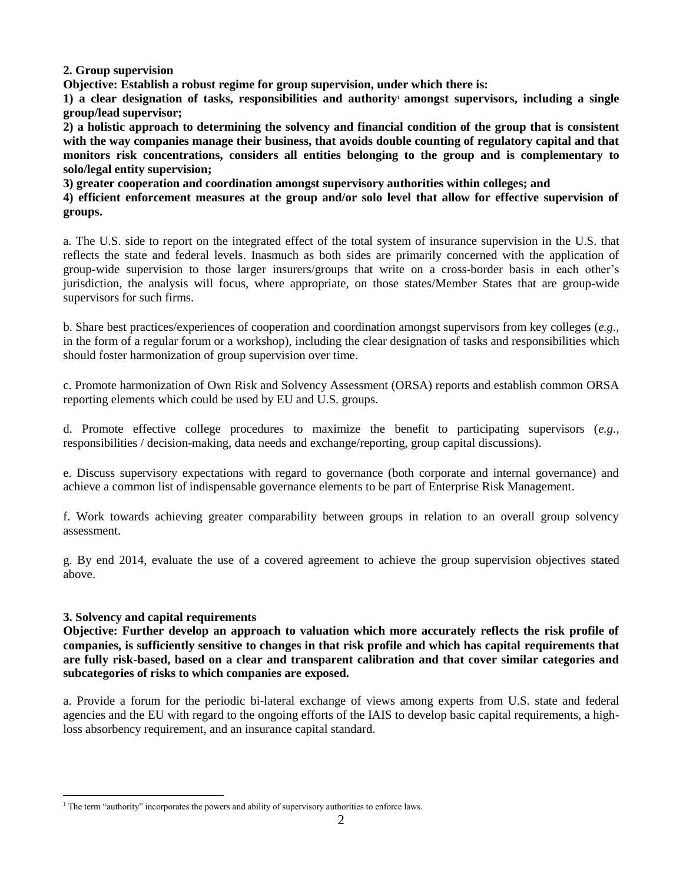**2. Group supervision**

**Objective: Establish a robust regime for group supervision, under which there is:**

**1) a clear designation of tasks, responsibilities and authority<sup>1</sup> amongst supervisors, including a single group/lead supervisor;**

**2) a holistic approach to determining the solvency and financial condition of the group that is consistent with the way companies manage their business, that avoids double counting of regulatory capital and that monitors risk concentrations, considers all entities belonging to the group and is complementary to solo/legal entity supervision;**

**3) greater cooperation and coordination amongst supervisory authorities within colleges; and**

**4) efficient enforcement measures at the group and/or solo level that allow for effective supervision of groups.**

a. The U.S. side to report on the integrated effect of the total system of insurance supervision in the U.S. that reflects the state and federal levels. Inasmuch as both sides are primarily concerned with the application of group-wide supervision to those larger insurers/groups that write on a cross-border basis in each other's jurisdiction, the analysis will focus, where appropriate, on those states/Member States that are group-wide supervisors for such firms.

b. Share best practices/experiences of cooperation and coordination amongst supervisors from key colleges (*e.g*., in the form of a regular forum or a workshop), including the clear designation of tasks and responsibilities which should foster harmonization of group supervision over time.

c. Promote harmonization of Own Risk and Solvency Assessment (ORSA) reports and establish common ORSA reporting elements which could be used by EU and U.S. groups.

d. Promote effective college procedures to maximize the benefit to participating supervisors (*e.g.,*  responsibilities / decision-making, data needs and exchange/reporting, group capital discussions).

e. Discuss supervisory expectations with regard to governance (both corporate and internal governance) and achieve a common list of indispensable governance elements to be part of Enterprise Risk Management.

f. Work towards achieving greater comparability between groups in relation to an overall group solvency assessment.

g. By end 2014, evaluate the use of a covered agreement to achieve the group supervision objectives stated above.

# **3. Solvency and capital requirements**

 $\overline{a}$ 

**Objective: Further develop an approach to valuation which more accurately reflects the risk profile of companies, is sufficiently sensitive to changes in that risk profile and which has capital requirements that are fully risk-based, based on a clear and transparent calibration and that cover similar categories and subcategories of risks to which companies are exposed.**

a. Provide a forum for the periodic bi-lateral exchange of views among experts from U.S. state and federal agencies and the EU with regard to the ongoing efforts of the IAIS to develop basic capital requirements, a highloss absorbency requirement, and an insurance capital standard.

<sup>&</sup>lt;sup>1</sup> The term "authority" incorporates the powers and ability of supervisory authorities to enforce laws.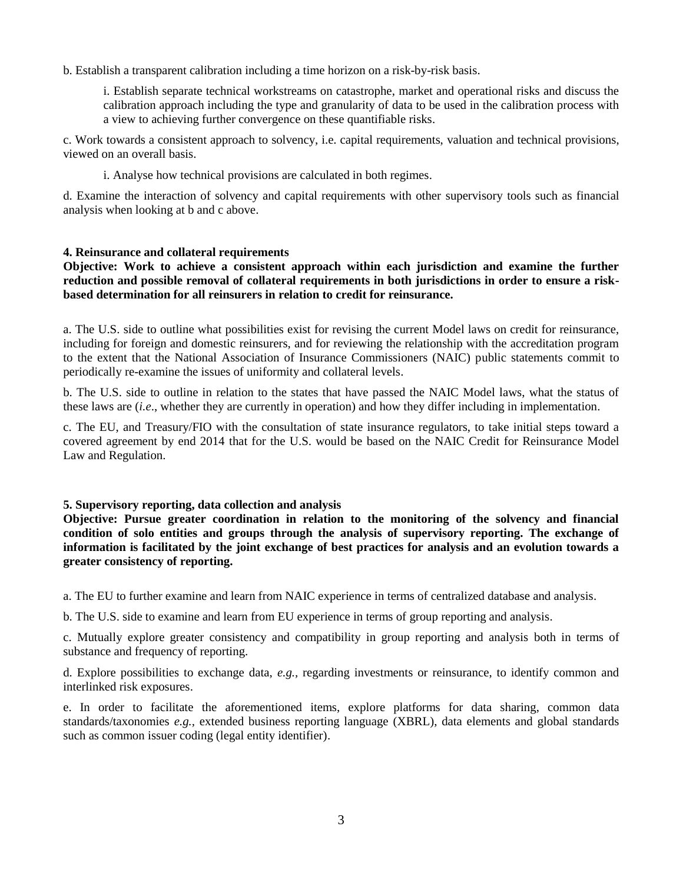b. Establish a transparent calibration including a time horizon on a risk-by-risk basis.

i. Establish separate technical workstreams on catastrophe, market and operational risks and discuss the calibration approach including the type and granularity of data to be used in the calibration process with a view to achieving further convergence on these quantifiable risks.

c. Work towards a consistent approach to solvency, i.e. capital requirements, valuation and technical provisions, viewed on an overall basis.

i. Analyse how technical provisions are calculated in both regimes.

d. Examine the interaction of solvency and capital requirements with other supervisory tools such as financial analysis when looking at b and c above.

## **4. Reinsurance and collateral requirements**

**Objective: Work to achieve a consistent approach within each jurisdiction and examine the further reduction and possible removal of collateral requirements in both jurisdictions in order to ensure a riskbased determination for all reinsurers in relation to credit for reinsurance.**

a. The U.S. side to outline what possibilities exist for revising the current Model laws on credit for reinsurance, including for foreign and domestic reinsurers, and for reviewing the relationship with the accreditation program to the extent that the National Association of Insurance Commissioners (NAIC) public statements commit to periodically re-examine the issues of uniformity and collateral levels.

b. The U.S. side to outline in relation to the states that have passed the NAIC Model laws, what the status of these laws are (*i.e*., whether they are currently in operation) and how they differ including in implementation.

c. The EU, and Treasury/FIO with the consultation of state insurance regulators, to take initial steps toward a covered agreement by end 2014 that for the U.S. would be based on the NAIC Credit for Reinsurance Model Law and Regulation.

## **5. Supervisory reporting, data collection and analysis**

**Objective: Pursue greater coordination in relation to the monitoring of the solvency and financial condition of solo entities and groups through the analysis of supervisory reporting. The exchange of information is facilitated by the joint exchange of best practices for analysis and an evolution towards a greater consistency of reporting.**

a. The EU to further examine and learn from NAIC experience in terms of centralized database and analysis.

b. The U.S. side to examine and learn from EU experience in terms of group reporting and analysis.

c. Mutually explore greater consistency and compatibility in group reporting and analysis both in terms of substance and frequency of reporting.

d. Explore possibilities to exchange data, *e.g.,* regarding investments or reinsurance, to identify common and interlinked risk exposures.

e. In order to facilitate the aforementioned items, explore platforms for data sharing, common data standards/taxonomies *e.g.,* extended business reporting language (XBRL), data elements and global standards such as common issuer coding (legal entity identifier).